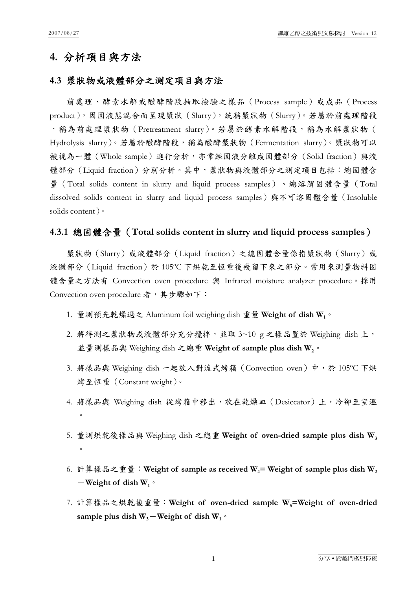## **4.** 分析項目與方法

### **4.3** 漿狀物或液體部分之測定項目與方法

前處理、酵素水解或醱酵階段抽取檢驗之樣品(Process sample)或成品(Process product),因固液態混合而呈現漿狀(Slurry),統稱漿狀物(Slurry)。若屬於前處理階段 ,稱為前處理漿狀物(Pretreatment slurry)。若屬於酵素水解階段,稱為水解漿狀物( Hydrolysis slurry)。若屬於醱酵階段,稱為醱酵漿狀物 (Fermentation slurry)。漿狀物可以 被視為一體(Whole sample)進行分析,亦常經固液分離成固體部分(Solid fraction)與液 體部分(Liquid fraction)分別分析。其中,漿狀物與液體部分之測定項目包括:總固體含 量(Total solids content in slurry and liquid process samples)、總溶解固體含量(Total dissolved solids content in slurry and liquid process samples)與不可溶固體含量(Insoluble solids content)。

#### **4.3.1** 總固體含量(**Total solids content in slurry and liquid process samples**)

漿狀物(Slurry)或液體部分(Liquid fraction)之總固體含量係指漿狀物(Slurry)或 液體部分(Liquid fraction)於 105ºC 下烘乾至恆重後殘留下來之部分。常用來測量物料固 體含量之方法有 Convection oven procedure 與 Infrared moisture analyzer procedure。採用 Convection oven procedure 者,其步驟如下:

- 1. 量測預先乾燥過之 Aluminum foil weighing dish 重量 **Weight of dish W1**。
- 2. 將待測之漿狀物或液體部分充分攪拌,並取 3~10 g 之樣品置於 Weighing dish 上, 並量測樣品與 Weighing dish 之總重 **Weight of sample plus dish W2**。
- 3. 將樣品與 Weighing dish 一起放入對流式烤箱 (Convection oven) 中,於 105℃下烘 烤至恆重(Constant weight)。
- 4. 將樣品與 Weighing dish 從烤箱中移出,放在乾燥皿 (Desiccator)上,冷卻至室溫  $\circ$
- 5. 量測烘乾後樣品與 Weighing dish 之總重 Weight of oven-dried sample plus dish W<sub>3</sub>  $\circ$
- 6. 計算樣品之重量: Weight of sample as received W<sub>4</sub>= Weight of sample plus dish W<sub>2</sub>  $-\text{Weight of dish }W_1$ <sup>o</sup>
- 7. 計算樣品之烘乾後重量: Weight of oven-dried sample W<sub>5</sub>=Weight of oven-dried sample plus dish  $W_3$ <sup>-</sup>Weight of dish  $W_1$ <sup> $\circ$ </sup>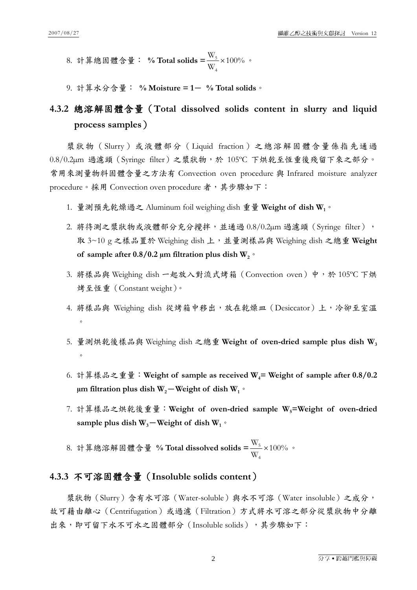- 8. 計算總固體含量: **% Total solids =** 100% W W 4  $\frac{5}{1} \times 100\%$  .
- 9. 計算水分含量: **% Moisture = 1**- **% Total solids**。

# **4.3.2** 總溶解固體含量(**Total dissolved solids content in slurry and liquid process samples**)

漿狀物(Slurry)或液體部分(Liquid fraction)之總溶解固體含量係指先通過 0.8/0.2µm 過濾頭(Syringe filter)之漿狀物,於 105ºC 下烘乾至恆重後殘留下來之部分。 常用來測量物料固體含量之方法有 Convection oven procedure 與 Infrared moisture analyzer procedure。採用 Convection oven procedure 者,其步驟如下:

- 1. 量測預先乾燥過之 Aluminum foil weighing dish 重量 **Weight of dish W1**。
- 2. 將待測之漿狀物或液體部分充分攪拌,並通過 0.8/0.2µm 過濾頭 (Syringe filter), 取 3~10 g 之樣品置於 Weighing dish 上,並量測樣品與 Weighing dish 之總重 **Weight**  of sample after  $0.8/0.2$  µm filtration plus dish  $W_2$ <sup>o</sup>
- 3. 將樣品與 Weighing dish 一起放入對流式烤箱 (Convection oven) 中,於 105℃下烘 烤至恆重(Constant weight)。
- 4. 將樣品與 Weighing dish 從烤箱中移出,放在乾燥皿 (Desiccator)上,冷卻至室溫  $\circ$
- 5. 量測烘乾後樣品與 Weighing dish 之總重 **Weight of oven-dried sample plus dish W3**  $\circ$
- 6. 計算樣品之重量: Weight of sample as received W<sub>4</sub>= Weight of sample after 0.8/0.2  $\mu$ m filtration plus dish W<sub>2</sub> – Weight of dish W<sub>1</sub>  $\circ$
- 7. 計算樣品之烘乾後重量: Weight of oven-dried sample W<sub>5</sub>=Weight of oven-dried sample plus dish  $W_3$ –Weight of dish  $W_1$ <sup>o</sup>
- 8. 計算總溶解固體含量 **% Total dissolved solids =** 100% W W 4  $\frac{5}{1} \times 100\%$  .

## **4.3.3** 不可溶固體含量(**Insoluble solids content**)

漿狀物(Slurry)含有水可溶(Water-soluble)與水不可溶(Water insoluble)之成分, 故可藉由離心(Centrifugation)或過濾(Filtration)方式將水可溶之部分從漿狀物中分離 出來,即可留下水不可水之固體部分(Insoluble solids),其步驟如下: